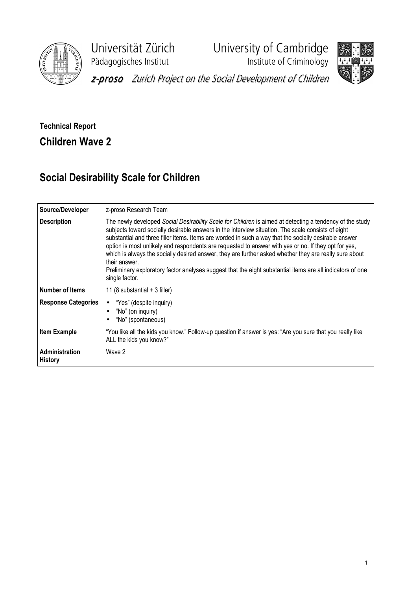

Pädagogisches Institut **Institute of Criminology** 

Universität Zürich University of Cambridge





z-proso Zurich Project on the Social Development of Children

## Technical Report Children Wave 2

## Social Desirability Scale for Children

| Source/Developer                        | z-proso Research Team                                                                                                                                                                                                                                                                                                                                                                                                                                                                                                                                                                                                                                                                      |  |  |  |  |  |  |
|-----------------------------------------|--------------------------------------------------------------------------------------------------------------------------------------------------------------------------------------------------------------------------------------------------------------------------------------------------------------------------------------------------------------------------------------------------------------------------------------------------------------------------------------------------------------------------------------------------------------------------------------------------------------------------------------------------------------------------------------------|--|--|--|--|--|--|
| <b>Description</b>                      | The newly developed Social Desirability Scale for Children is aimed at detecting a tendency of the study<br>subjects toward socially desirable answers in the interview situation. The scale consists of eight<br>substantial and three filler items. Items are worded in such a way that the socially desirable answer<br>option is most unlikely and respondents are requested to answer with yes or no. If they opt for yes,<br>which is always the socially desired answer, they are further asked whether they are really sure about<br>their answer.<br>Preliminary exploratory factor analyses suggest that the eight substantial items are all indicators of one<br>single factor. |  |  |  |  |  |  |
| <b>Number of Items</b>                  | 11 (8 substantial $+$ 3 filler)                                                                                                                                                                                                                                                                                                                                                                                                                                                                                                                                                                                                                                                            |  |  |  |  |  |  |
| <b>Response Categories</b>              | "Yes" (despite inquiry)<br>$\bullet$<br>"No" (on inquiry)<br>$\bullet$<br>"No" (spontaneous)<br>$\bullet$                                                                                                                                                                                                                                                                                                                                                                                                                                                                                                                                                                                  |  |  |  |  |  |  |
| <b>Item Example</b>                     | "You like all the kids you know." Follow-up question if answer is yes: "Are you sure that you really like<br>ALL the kids you know?"                                                                                                                                                                                                                                                                                                                                                                                                                                                                                                                                                       |  |  |  |  |  |  |
| <b>Administration</b><br><b>History</b> | Wave 2                                                                                                                                                                                                                                                                                                                                                                                                                                                                                                                                                                                                                                                                                     |  |  |  |  |  |  |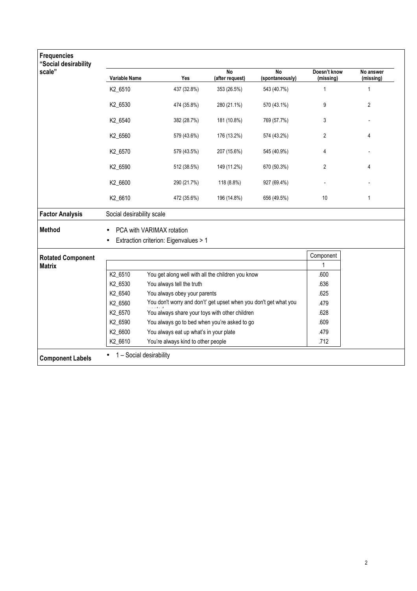| <b>Frequencies</b><br>"Social desirability<br>scale" |                           | $\overline{N}$<br>$\overline{N}$<br>Doesn't know                 |                 |                 |                |                        |  |  |  |  |
|------------------------------------------------------|---------------------------|------------------------------------------------------------------|-----------------|-----------------|----------------|------------------------|--|--|--|--|
|                                                      | Variable Name             | Yes                                                              | (after request) | (spontaneously) | (missing)      | No answer<br>(missing) |  |  |  |  |
|                                                      | K2_6510                   | 437 (32.8%)                                                      | 353 (26.5%)     | 543 (40.7%)     | 1              | $\mathbf{1}$           |  |  |  |  |
|                                                      | K2_6530                   | 474 (35.8%)                                                      | 280 (21.1%)     | 570 (43.1%)     | 9              | 2                      |  |  |  |  |
|                                                      | K2_6540                   | 382 (28.7%)                                                      | 181 (10.8%)     | 769 (57.7%)     | 3              |                        |  |  |  |  |
|                                                      | K2_6560                   | 579 (43.6%)                                                      | 176 (13.2%)     | 574 (43.2%)     | $\overline{2}$ | 4                      |  |  |  |  |
|                                                      | K2_6570                   | 579 (43.5%)                                                      | 207 (15.6%)     | 545 (40.9%)     | 4              |                        |  |  |  |  |
|                                                      | K2_6590                   | 512 (38.5%)                                                      | 149 (11.2%)     | 670 (50.3%)     | 2              | 4                      |  |  |  |  |
|                                                      | K2_6600                   | 290 (21.7%)                                                      | 118 (8.8%)      | 927 (69.4%)     |                |                        |  |  |  |  |
|                                                      | K2_6610                   | 472 (35.6%)                                                      | 196 (14.8%)     | 656 (49.5%)     | 10             | $\mathbf{1}$           |  |  |  |  |
| <b>Factor Analysis</b>                               | Social desirability scale |                                                                  |                 |                 |                |                        |  |  |  |  |
| Method                                               | PCA with VARIMAX rotation |                                                                  |                 |                 |                |                        |  |  |  |  |
|                                                      |                           | Extraction criterion: Eigenvalues > 1                            |                 |                 |                |                        |  |  |  |  |
| <b>Rotated Component</b><br><b>Matrix</b>            |                           |                                                                  |                 |                 | Component      |                        |  |  |  |  |
|                                                      |                           |                                                                  |                 |                 | 1              |                        |  |  |  |  |
|                                                      | K2_6510                   | You get along well with all the children you know                | .600            |                 |                |                        |  |  |  |  |
|                                                      | K2_6530                   | You always tell the truth                                        | .636            |                 |                |                        |  |  |  |  |
|                                                      | K2_6540                   | You always obey your parents                                     | .625            |                 |                |                        |  |  |  |  |
|                                                      | K2_6560                   | You don't worry and don't' get upset when you don't get what you | .479            |                 |                |                        |  |  |  |  |
|                                                      | K2_6570                   | You always share your toys with other children                   | .628            |                 |                |                        |  |  |  |  |
|                                                      | K2_6590                   | You always go to bed when you're asked to go                     | .609            |                 |                |                        |  |  |  |  |
|                                                      | K2 6600                   | You always eat up what's in your plate                           | .479            |                 |                |                        |  |  |  |  |
|                                                      | K2 6610                   | You're always kind to other people                               | .712            |                 |                |                        |  |  |  |  |